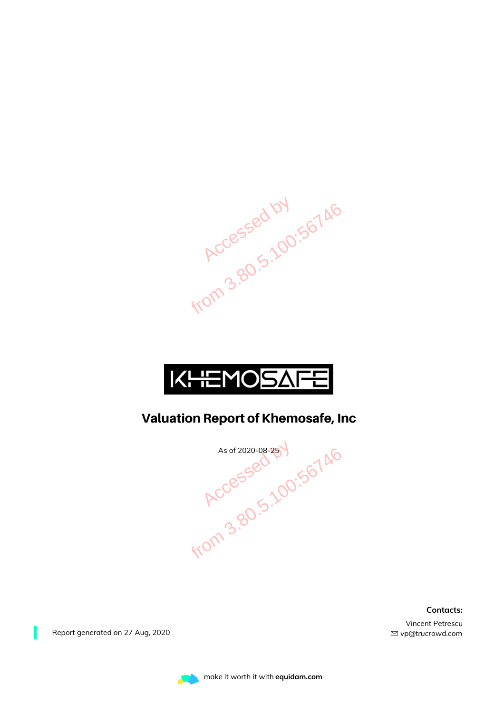



#### Valuation Report of Khemosafe, Inc

As of 2020-08-25 V<br>RCCessed 5.100:56746

**Contacts:**

Vincent Petrescu *vp@trucrowd.com*

Report generated on 27 Aug, 2020

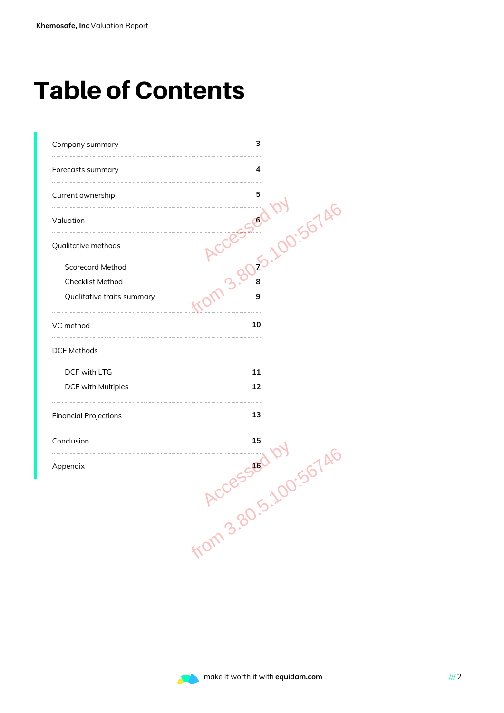### Table of Contents

| Company summary              | з                |
|------------------------------|------------------|
| Forecasts summary            | 4                |
| Current ownership            | 5                |
| Valuation                    | 00:5674          |
| Qualitative methods          |                  |
| <b>Scorecard Method</b>      |                  |
| Checklist Method             |                  |
| Qualitative traits summary   | 9                |
| VC method                    | 10               |
| <b>DCF Methods</b>           |                  |
| DCF with LTG                 | 11               |
| DCF with Multiples           | 12               |
| <b>Financial Projections</b> | 13               |
| Conclusion                   | 15               |
| Appendix                     | 00:567 A.E<br>16 |
|                              |                  |
|                              |                  |
|                              | from 3.80        |
|                              |                  |
|                              |                  |
|                              |                  |
|                              |                  |

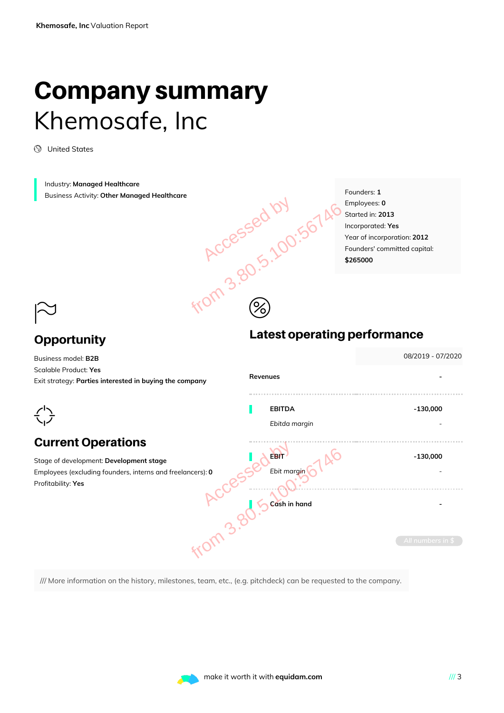### Company summary Khemosafe, Inc

United States

Industry: **Managed Healthcare** Business Activity: **Other Managed Healthcare**

Founders: **1** Employees: **0** Started in: **2013** Incorporated: **Yes** Year of incorporation: **2012** Founders' committed capital: **\$265000**

### $\approx$

#### **Opportunity**

# Latest operating performance Accessed by <sub>100:56746</sub>

| Business model: B2B                                                                                                         |                                            | 08/2019 - 07/2020               |
|-----------------------------------------------------------------------------------------------------------------------------|--------------------------------------------|---------------------------------|
| Scalable Product: Yes<br>Exit strategy: Parties interested in buying the company                                            | Revenues                                   |                                 |
|                                                                                                                             | <b>EBITDA</b><br>Ebitda margin             | $-130,000$                      |
| <b>Current Operations</b>                                                                                                   |                                            |                                 |
| Stage of development: Development stage<br>Employees (excluding founders, interns and freelancers): 0<br>Profitability: Yes | <b>EBIT</b><br>Ebit margin<br>Cash in hand | $-130,000$<br>All numbers in \$ |
| /// More information on the history, milestones, team, etc., (e.g. pitchdeck) can be requested to the company.              |                                            |                                 |

 $\circledS$ 

/// More information on the history, milestones, team, etc., (e.g. pitchdeck) can be requested to the company.

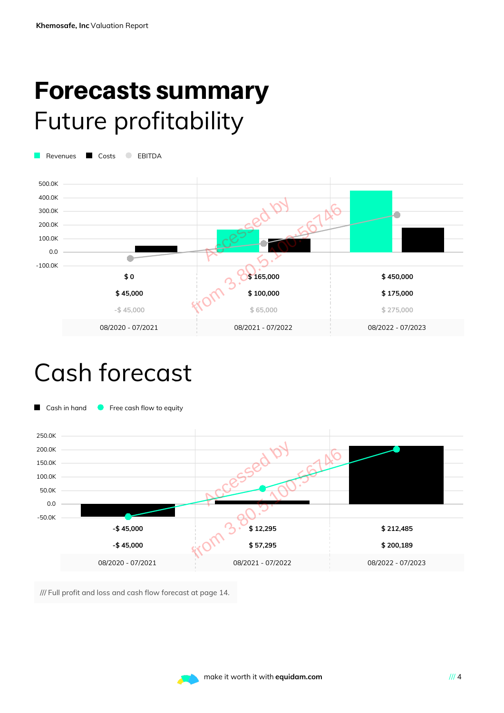### Forecasts summary Future profitability

Revenues Costs BITDA



### Cash forecast



/// Full profit and loss and cash flow forecast at page 14.

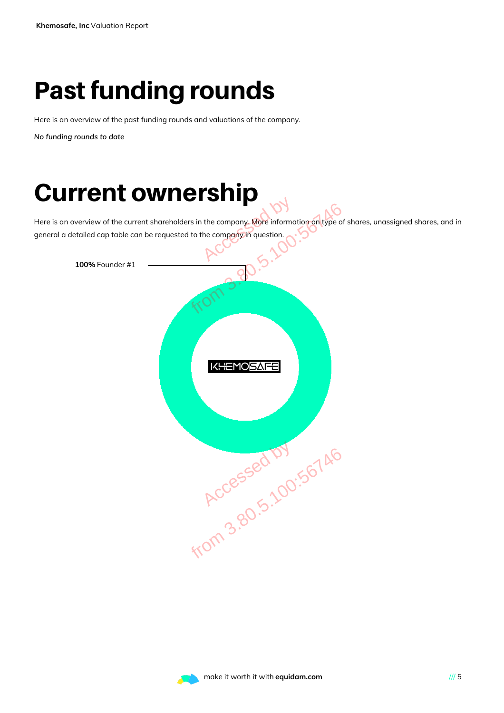### Past funding rounds

Here is an overview of the past funding rounds and valuations of the company.

*No funding rounds to date*

### Current ownership

Here is an overview of the current shareholders in the company. More information on type of shares, unassigned shares, and in general a detailed cap table can be requested to the company in question.



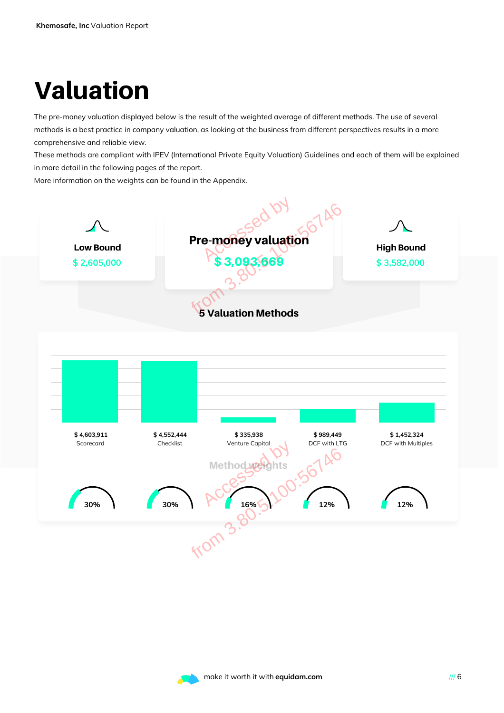## Valuation

The pre-money valuation displayed below is the result of the weighted average of different methods. The use of several methods is a best practice in company valuation, as looking at the business from different perspectives results in a more comprehensive and reliable view.

These methods are compliant with IPEV (International Private Equity Valuation) Guidelines and each of them will be explained in more detail in the following pages of the report.

More information on the weights can be found in the Appendix.



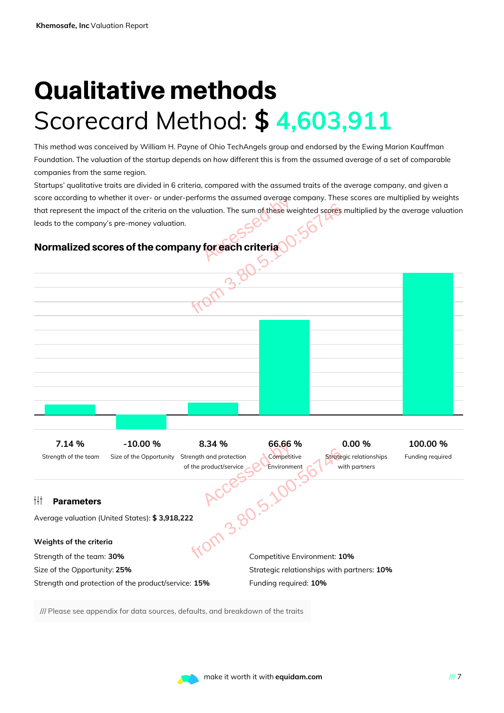### Qualitative methods Scorecard Method: **\$ 4,603,911**

This method was conceived by William H. Payne of Ohio TechAngels group and endorsed by the Ewing Marion Kauffman Foundation. The valuation of the startup depends on how different this is from the assumed average of a set of comparable companies from the same region.

Startups' qualitative traits are divided in 6 criteria, compared with the assumed traits of the average company, and given a score according to whether it over- or under-performs the assumed average company. These scores are multiplied by weights that represent the impact of the criteria on the valuation. The sum of these weighted scores multiplied by the average valuation leads to the company's pre-money valuation.

#### Normalized scores of the company for each criteria



/// Please see appendix for data sources, defaults, and breakdown of the traits

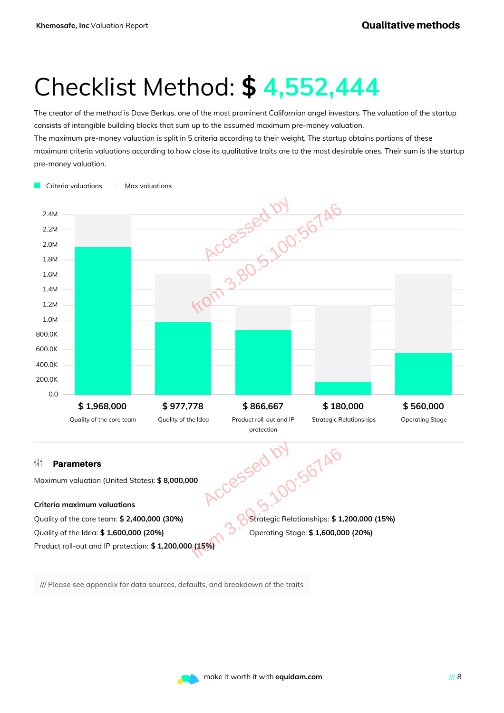### Checklist Method: **\$ 4,552,444**

The creator of the method is Dave Berkus, one of the most prominent Californian angel investors. The valuation of the startup consists of intangible building blocks that sum up to the assumed maximum pre-money valuation.

The maximum pre-money valuation is split in 5 criteria according to their weight. The startup obtains portions of these maximum criteria valuations according to how close its qualitative traits are to the most desirable ones. Their sum is the startup pre-money valuation.



/// Please see appendix for data sources, defaults, and breakdown of the traits

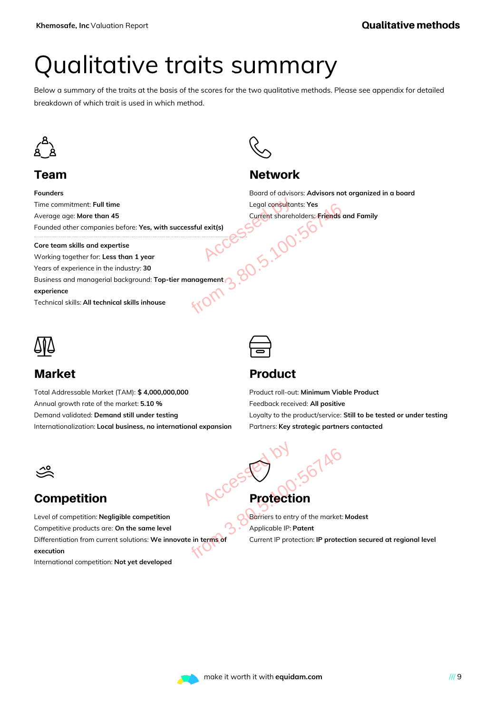### Qualitative traits summary

Below a summary of the traits at the basis of the scores for the two qualitative methods. Please see appendix for detailed breakdown of which trait is used in which method.



#### Team

**Founders** Time commitment: **Full time** Average age: **More than 45** Founded other companies before: **Yes, with successful exit(s)**

**Core team skills and expertise**

Working together for: **Less than 1 year** Years of experience in the industry: **30** Business and managerial background: **Top-tier management experience**

Technical skills:**All technical skills inhouse**



#### Market

Total Addressable Market (TAM): **\$ 4,000,000,000** Annual growth rate of the market: **5.10 %** Demand validated: **Demand still under testing** Internationalization: **Local business, no international expansion**



#### **Network**

Board of advisors: **Advisors not organized in a board** Legal consultants: **Yes** Current shareholders: **Friends and Family** Legal consultants: Yes<br>
Current shareholders: Friends c<br>
entity and the successful exit(s)<br>
ACCESS



#### Product

Product roll-out: **Minimum Viable Product** Feedback received: **All positive** Loyalty to the product/service: **Still to be tested or under testing** Partners: **Key strategic partners contacted**



#### Competition

Level of competition: **Negligible competition** Competitive products are: **On the same level** Differentiation from current solutions: **We innovate in terms of execution** Protection<br>
Sevel<br>
Protection<br>
Sevel<br>
Protection<br>
Sevel<br>
Protection<br>
Current IP protection: IP protection<br>
Protection: IP protection<br>
Protection: IP protection: IP protection: IP protection<br>
Protection: IP protection: IP p

International competition: **Not yet developed**

 $\bigodot$ Protection Accessed by

Barriers to entry of the market: **Modest** Applicable IP: **Patent** Current IP protection: **IP protection secured at regional level**

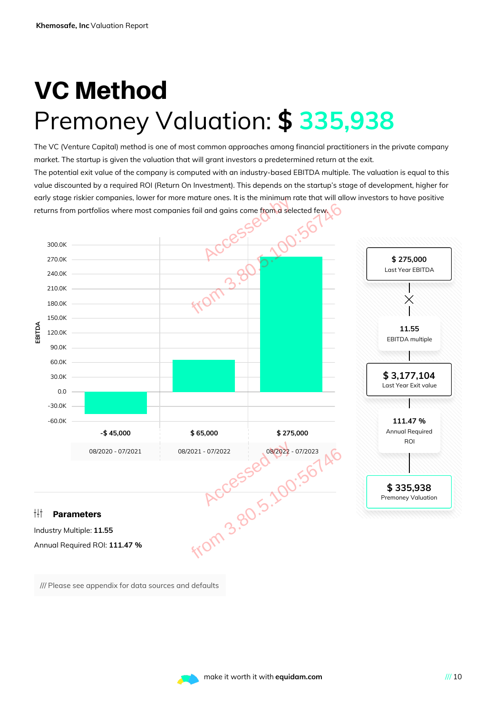### VC Method Premoney Valuation: **\$ 335,938**

The VC (Venture Capital) method is one of most common approaches among financial practitioners in the private company market. The startup is given the valuation that will grant investors a predetermined return at the exit. The potential exit value of the company is computed with an industry-based EBITDA multiple. The valuation is equal to this value discounted by a required ROI (Return On Investment). This depends on the startup's stage of development, higher for early stage riskier companies, lower for more mature ones. It is the minimum rate that will allow investors to have positive returns from portfolios where most companies fail and gains come from a selected few.



/// Please see appendix for data sources and defaults

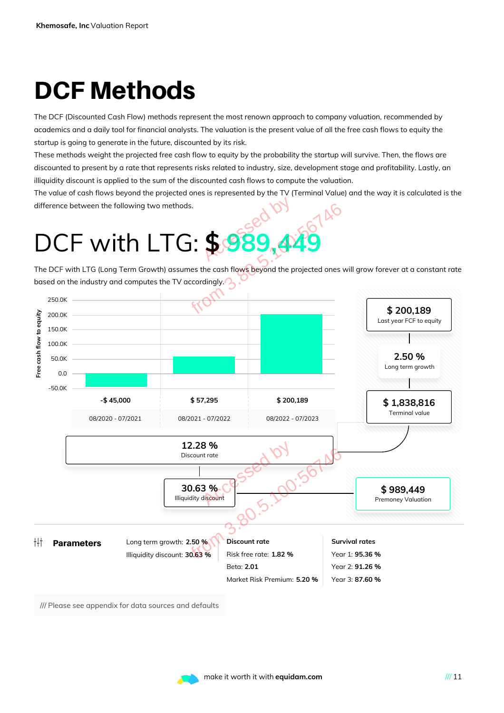## DCF Methods

The DCF (Discounted Cash Flow) methods represent the most renown approach to company valuation, recommended by academics and a daily tool for financial analysts. The valuation is the present value of all the free cash flows to equity the startup is going to generate in the future, discounted by its risk.

These methods weight the projected free cash flow to equity by the probability the startup will survive. Then, the flows are discounted to present by a rate that represents risks related to industry, size, development stage and profitability. Lastly, an illiquidity discount is applied to the sum of the discounted cash flows to compute the valuation.

The value of cash flows beyond the projected ones is represented by the TV (Terminal Value) and the way it is calculated is the difference between the following two methods.

The DCF with LTG (Long Term Growth) assumes the cash flows beyond the projected ones will grow forever at a constant rate based on the industry and computes the TV accordingly.



/// Please see appendix for data sources and defaults

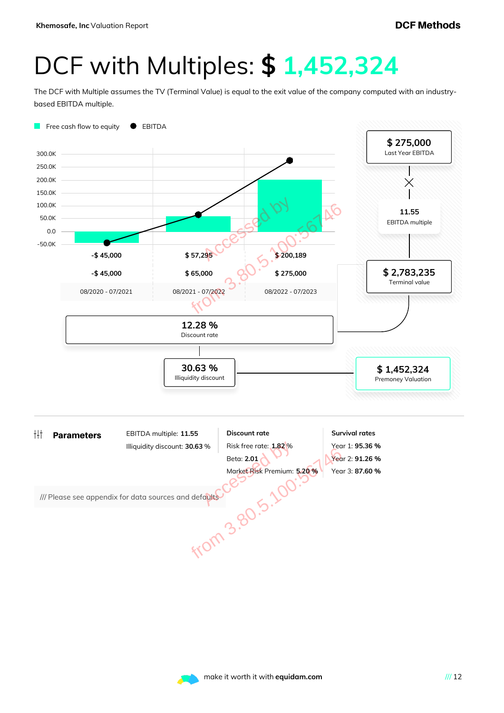### DCF with Multiples: **\$ 1,452,324**

The DCF with Multiple assumes the TV (Terminal Value) is equal to the exit value of the company computed with an industrybased EBITDA multiple.



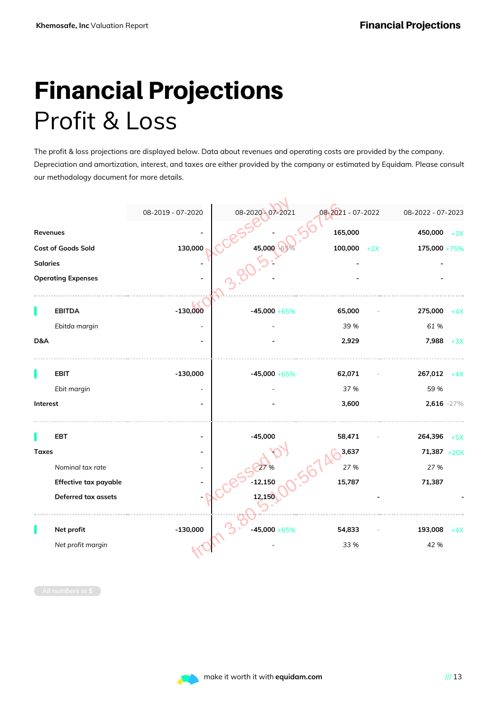### Financial Projections Profit & Loss

The profit & loss projections are displayed below. Data about revenues and operating costs are provided by the company. Depreciation and amortization, interest, and taxes are either provided by the company or estimated by Equidam. Please consult our methodology document for more details.

|                 |                           |                   | 08-2020 - 07-2021 |                   |                   |
|-----------------|---------------------------|-------------------|-------------------|-------------------|-------------------|
|                 |                           | 08-2019 - 07-2020 |                   | 08-2021 - 07-2022 | 08-2022 - 07-2023 |
| Revenues        |                           |                   |                   | 165,000           | 450,000<br>$+3X$  |
|                 | Cost of Goods Sold        | 130,000           | 45,000            | 100,000<br>$+2X$  | 175,000 +75%      |
| <b>Salaries</b> |                           |                   |                   |                   |                   |
|                 | <b>Operating Expenses</b> |                   |                   |                   |                   |
|                 |                           |                   |                   |                   |                   |
|                 | <b>EBITDA</b>             | $-130,000$        | $-45,000 + 65%$   | 65,000            | 275,000<br>$+4X$  |
|                 | Ebitda margin             |                   |                   | 39 %              | 61%               |
| D&A             |                           |                   |                   | 2,929             | 7,988<br>$+3X$    |
|                 |                           |                   |                   |                   |                   |
|                 | <b>EBIT</b>               | $-130,000$        | $-45,000 + 65%$   | 62,071            | 267,012<br>$+4X$  |
|                 | Ebit margin               |                   |                   | 37 %              | 59 %              |
| Interest        |                           |                   |                   | 3,600             | 2,616 -27%        |
|                 |                           |                   |                   |                   |                   |
|                 | <b>EBT</b>                |                   | $-45,000$         | 58,471            | 264,396<br>$+5X$  |
| <b>Taxes</b>    |                           |                   |                   | 3,637             | $71,387 + 20X$    |
|                 | Nominal tax rate          |                   |                   | 27 %              | 27 %              |
|                 | Effective tax payable     |                   | $-12,150$         | 15,787            | 71,387            |
|                 | Deferred tax assets       |                   | 12,150            |                   |                   |
|                 |                           |                   |                   |                   |                   |
|                 | Net profit                | $-130,000$        | $-45,000 + 65\%$  | 54,833            | 193,008<br>$+4X$  |
|                 | Net profit margin         |                   |                   | 33 %              | 42 %              |
|                 |                           |                   |                   |                   |                   |
|                 |                           |                   |                   |                   |                   |

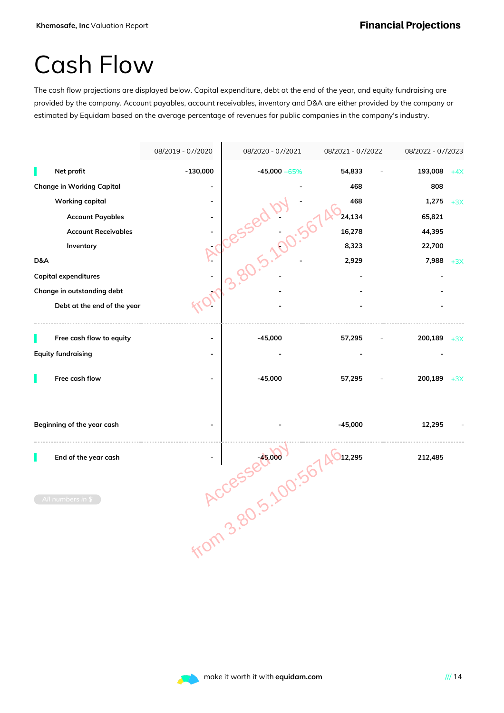### Cash Flow

The cash flow projections are displayed below. Capital expenditure, debt at the end of the year, and equity fundraising are provided by the company. Account payables, account receivables, inventory and D&A are either provided by the company or estimated by Equidam based on the average percentage of revenues for public companies in the company's industry.

|     |                                  | 08/2019 - 07/2020 | 08/2020 - 07/2021     | 08/2021 - 07/2022 | 08/2022 - 07/2023 |       |
|-----|----------------------------------|-------------------|-----------------------|-------------------|-------------------|-------|
|     | Net profit                       | $-130,000$        | $-45,000 + 65\%$      | 54,833            | 193,008           | $+4X$ |
|     | <b>Change in Working Capital</b> |                   |                       | 468               | 808               |       |
|     | <b>Working capital</b>           |                   |                       | 468               | 1,275             | $+3X$ |
|     | <b>Account Payables</b>          |                   |                       | 24,134            | 65,821            |       |
|     | <b>Account Receivables</b>       |                   |                       | 16,278            | 44,395            |       |
|     | Inventory                        |                   |                       | 8,323             | 22,700            |       |
| D&A |                                  |                   | <b>TWUBS301.00:56</b> | 2,929             | 7,988             | $+3X$ |
|     | <b>Capital expenditures</b>      |                   |                       |                   |                   |       |
|     | Change in outstanding debt       |                   |                       |                   |                   |       |
|     | Debt at the end of the year      |                   |                       |                   |                   |       |
|     |                                  |                   |                       |                   |                   |       |
|     | Free cash flow to equity         |                   | $-45,000$             | 57,295            | $200,189$ +3X     |       |
|     | <b>Equity fundraising</b>        |                   |                       |                   |                   |       |
|     | Free cash flow                   |                   | $-45,000$             | 57,295            | 200,189           | $+3X$ |
|     | Beginning of the year cash       |                   |                       |                   | 12,295            |       |
|     | End of the year cash             |                   |                       |                   | 212,485           |       |
|     | All numbers in \$                |                   | 45, 400.567 46.295    |                   |                   |       |
|     |                                  |                   |                       |                   |                   |       |

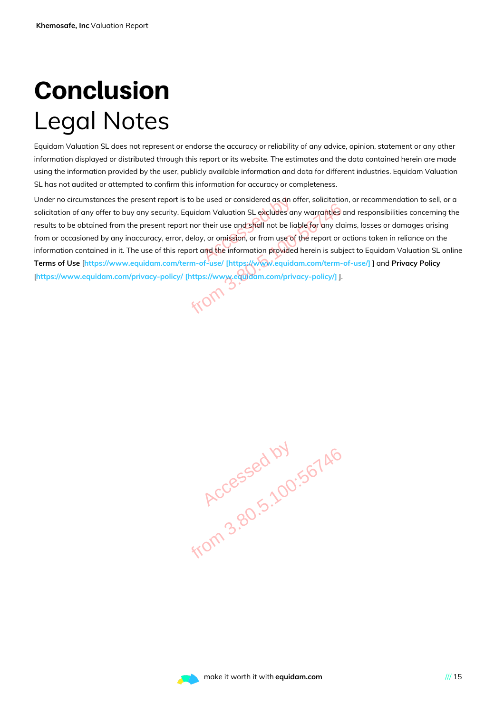### Conclusion Legal Notes

Equidam Valuation SL does not represent or endorse the accuracy or reliability of any advice, opinion, statement or any other information displayed or distributed through this report or its website. The estimates and the data contained herein are made using the information provided by the user, publicly available information and data for different industries. Equidam Valuation SL has not audited or attempted to confirm this information for accuracy or completeness.

Under no circumstances the present report is to be used or considered as an offer, solicitation, or recommendation to sell, or a solicitation of any offer to buy any security. Equidam Valuation SL excludes any warranties and responsibilities concerning the results to be obtained from the present report nor their use and shall not be liable for any claims, losses or damages arising from or occasioned by any inaccuracy, error, delay, or omission, or from use of the report or actions taken in reliance on the information contained in it. The use of this report and the information provided herein is subject to Equidam Valuation SL online **Terms of Use** [**https://www.equidam.com/term-of-use/ [https://www.equidam.com/term-of-use/]** ] and **Privacy Policy** [**https://www.equidam.com/privacy-policy/ [https://www.equidam.com/privacy-policy/]** ]. e used or considered as an a<br>am Valuation SL excludes are<br>their use and shall not be lick<br>, or omission, or from use of<br>and the information provided Franch Control of St. excludes any warranties on the report nor their use and shall not be liable for any cla<br>
1. error, delay, or omission, or from use of the report or c<br>
1. error, delay, or omission, or from use of the

**Accessed by 190.56746** 

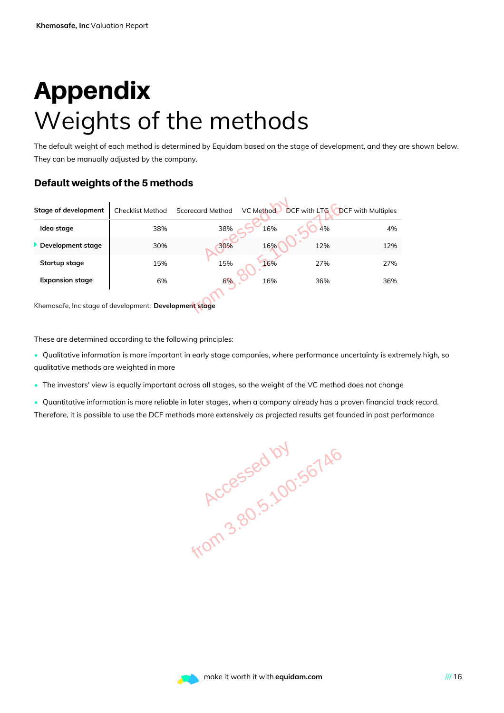### Appendix Weights of the methods

The default weight of each method is determined by Equidam based on the stage of development, and they are shown below. They can be manually adjusted by the company.

#### Default weights of the 5 methods

| <b>Stage of development</b>                                 | <b>Checklist Method</b> | <b>Scorecard Method</b> | VC Method |     | <b>DCF with LTG DCF with Multiples</b> |
|-------------------------------------------------------------|-------------------------|-------------------------|-----------|-----|----------------------------------------|
| Idea stage                                                  | 38%                     | 38%                     | 16%       | 4%  | 4%                                     |
| Development stage                                           | 30%                     | 30%                     | 16%       | 12% | 12%                                    |
| Startup stage                                               | 15%                     | 15%                     | 16%       | 27% | 27%                                    |
| <b>Expansion stage</b>                                      | 6%                      | 6%                      | 16%       | 36% | 36%                                    |
| Khemosafe, Inc stage of development: Development stage      |                         |                         |           |     |                                        |
| These are determined according to the following principles: |                         |                         |           |     |                                        |

These are determined according to the following principles:

- Qualitative information is more important in early stage companies, where performance uncertainty is extremely high, so qualitative methods are weighted in more
- The investors' view is equally important across all stages, so the weight of the VC method does not change
- Quantitative information is more reliable in later stages, when a company already has a proven financial track record. Therefore, it is possible to use the DCF methods more extensively as projected results get founded in past performance

**Accessed by 190.56746** 

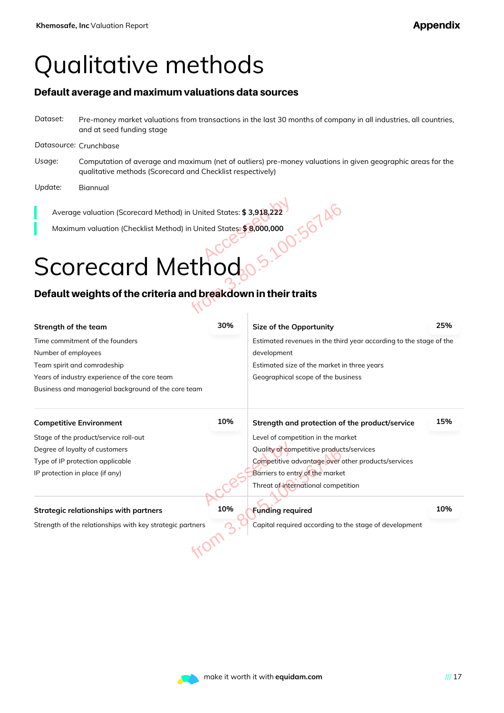### Qualitative methods

#### Default average and maximum valuations data sources

*Dataset:* Pre-money market valuations from transactions in the last 30 months of company in all industries, all countries, and at seed funding stage

#### *Datasource:* Crunchbase

- *Usage:* Computation of average and maximum (net of outliers) pre-money valuations in given geographic areas for the qualitative methods (Scorecard and Checklist respectively)
- *Update:* Biannual

### Scorecard Method

#### Default weights of the criteria and breakdown in their traits

| Average valuation (Scorecard Method) in United States: \$3,918,222                  |     |                                                                    |     |  |
|-------------------------------------------------------------------------------------|-----|--------------------------------------------------------------------|-----|--|
| 5.100:56746<br>Maximum valuation (Checklist Method) in United States: \$8,000,000   |     |                                                                    |     |  |
|                                                                                     |     |                                                                    |     |  |
| Scorecard Methodo                                                                   |     |                                                                    |     |  |
| Default weights of the criteria and breakdown in their traits                       |     |                                                                    |     |  |
| Strength of the team                                                                | 30% | Size of the Opportunity                                            | 25% |  |
| Time commitment of the founders                                                     |     | Estimated revenues in the third year according to the stage of the |     |  |
| Number of employees<br>development                                                  |     |                                                                    |     |  |
| Team spirit and comradeship<br>Estimated size of the market in three years          |     |                                                                    |     |  |
| Years of industry experience of the core team<br>Geographical scope of the business |     |                                                                    |     |  |
| Business and managerial background of the core team                                 |     |                                                                    |     |  |
| <b>Competitive Environment</b>                                                      | 10% | Strength and protection of the product/service                     | 15% |  |
| Stage of the product/service roll-out                                               |     | Level of competition in the market                                 |     |  |
| Degree of loyalty of customers                                                      |     | Quality of competitive products/services                           |     |  |
| Type of IP protection applicable                                                    |     | Competitive advantage over other products/services                 |     |  |
| IP protection in place (if any)                                                     |     | Barriers to entry of the market                                    |     |  |
|                                                                                     |     | Threat of international competition                                |     |  |
| <b>Strategic relationships with partners</b>                                        | 10% | <b>Funding required</b>                                            | 10% |  |
| Strength of the relationships with key strategic partners                           |     | Capital required according to the stage of development             |     |  |
|                                                                                     |     |                                                                    |     |  |
|                                                                                     |     |                                                                    |     |  |

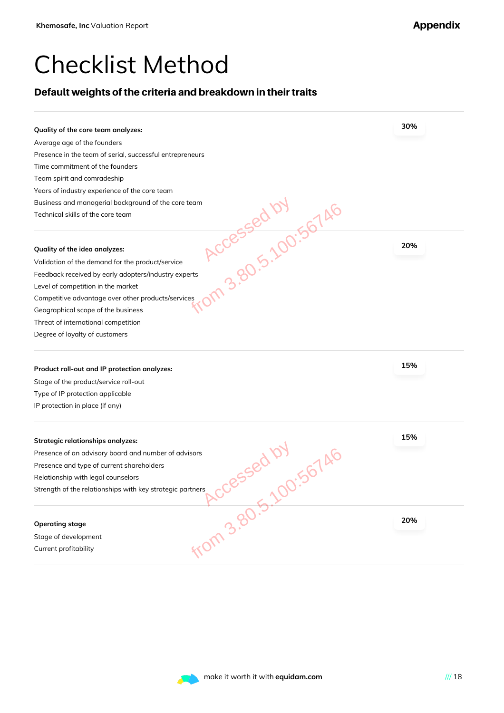### Checklist Method

#### Default weights of the criteria and breakdown in their traits

| Average age of the founders                                                     | 30% |
|---------------------------------------------------------------------------------|-----|
|                                                                                 |     |
| Presence in the team of serial, successful entrepreneurs                        |     |
| Time commitment of the founders                                                 |     |
| Team spirit and comradeship                                                     |     |
| Years of industry experience of the core team                                   |     |
| Business and managerial background of the core team                             |     |
| PROCESSED 100:56746<br>Technical skills of the core team                        |     |
| Quality of the idea analyzes:                                                   | 20% |
| Validation of the demand for the product/service                                |     |
| Feedback received by early adopters/industry experts                            |     |
| Level of competition in the market                                              |     |
| Competitive advantage over other products/services                              |     |
| Geographical scope of the business                                              |     |
| Threat of international competition                                             |     |
| Degree of loyalty of customers                                                  |     |
| Product roll-out and IP protection analyzes:                                    | 15% |
| Stage of the product/service roll-out                                           |     |
| Type of IP protection applicable                                                |     |
| IP protection in place (if any)                                                 |     |
|                                                                                 | 15% |
| <b>Strategic relationships analyzes:</b>                                        |     |
| Presence of an advisory board and number of advisors                            |     |
| Presence and type of current shareholders<br>Relationship with legal counselors |     |
|                                                                                 |     |
| Strength of the relationships with key strategic partners                       |     |
|                                                                                 | 20% |
| <b>Operating stage</b>                                                          |     |
| Stage of development                                                            |     |
| <b>From 3.80.5.100:56746</b><br>Current profitability                           |     |

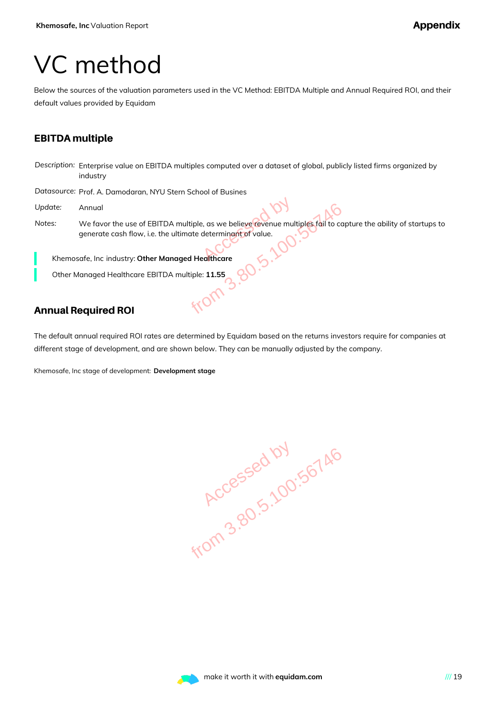### VC method

Below the sources of the valuation parameters used in the VC Method: EBITDA Multiple and Annual Required ROI, and their default values provided by Equidam

#### EBITDA multiple

*Description:* Enterprise value on EBITDA multiples computed over a dataset of global, publicly listed firms organized by industry

*Datasource:* Prof. A. Damodaran, NYU Stern School of Busines

- *Update:* Annual
- *Notes:* We favor the use of EBITDA multiple, as we believe revenue multiples fail to capture the ability of startups to generate cash flow, i.e. the ultimate determinant of value. TDA multiple, as we believe revenue multiples fail to ca<br>the ultimate determinant of value.<br>Managed Healthcare<br>TDA multiple: 11.55<br>SOC.

Khemosafe, Inc industry: **Other Managed Healthcare**

Other Managed Healthcare EBITDA multiple: **11.55**

#### Annual Required ROI

The default annual required ROI rates are determined by Equidam based on the returns investors require for companies at different stage of development, and are shown below. They can be manually adjusted by the company.

Khemosafe, Inc stage of development: **Development stage**

**Accessed by 190.56746** 

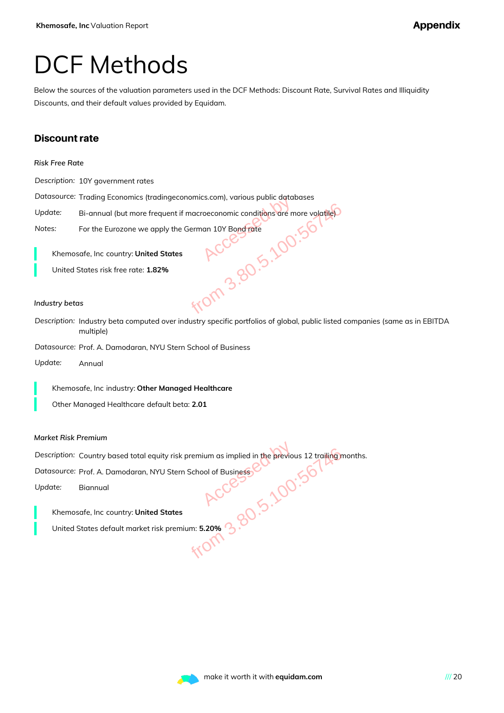#### DCF Methods

Below the sources of the valuation parameters used in the DCF Methods: Discount Rate, Survival Rates and Illiquidity Discounts, and their default values provided by Equidam.

#### Discount rate

|  | Risk Free Rate |  |
|--|----------------|--|
|  |                |  |

*Description:* 10Y government rates

*Datasource:* Trading Economics (tradingeconomics.com), various public databases

Update: Bi-annual (but more frequent if macroeconomic conditions are more volatile<sup>)</sup>

*Notes:* For the Eurozone we apply the German 10Y Bond rate

Khemosafe, Inc country: **United States**

United States risk free rate: **1.82%**

#### *Industry betas*

*Description:* Industry beta computed over industry specific portfolios of global, public listed companies (same as in EBITDA multiple) Exercise States<br>
We determine the German 10Y Bond Tate<br>
States<br>
Accession Conditions are more volatile<br>
States<br>
Accessible<br>
Accessible<br>
Accessible<br>
Accessible<br>
Accessible<br>
Accessible<br>
Accessible<br>
Accessible<br>
Accessible<br>
Ac

*Datasource:* Prof. A. Damodaran, NYU Stern School of Business

*Update:* Annual

Khemosafe, Inc industry: **Other Managed Healthcare**

Other Managed Healthcare default beta: **2.01**

#### *Market Risk Premium*

*Description:* Country based total equity risk premium as implied in the previous 12 trailing months. The States<br>
Expremium: 5.20% 3.80.500 Expremium: 5.20% 3.80.59<br>
ACCESS Expremium: 5.20% 3.80.59<br>
ACCESS Expremium: 5.20% 3.80.59<br>
ACCESS Expremium: 5.20% 3.80.59

Datasource: Prof. A. Damodaran, NYU Stern School of Business

*Update:* Biannual

Khemosafe, Inc country: **United States**

United States default market risk premium: **5.20%**

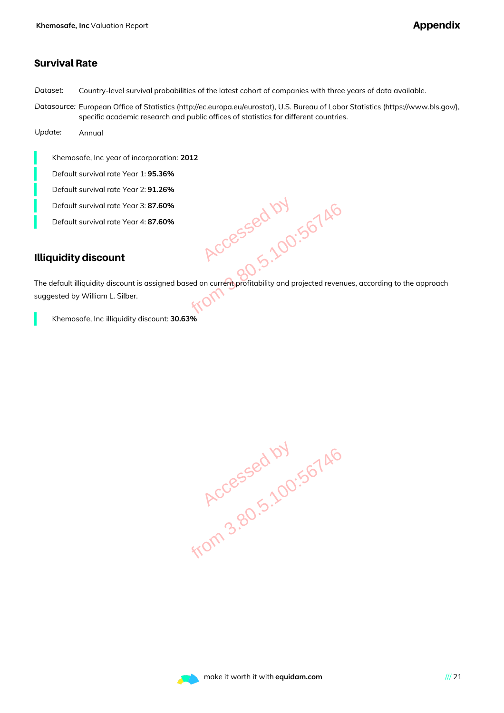#### Survival Rate

*Dataset:* Country-level survival probabilities of the latest cohort of companies with three years of data available.

*Datasource:* European Office of Statistics (http://ec.europa.eu/eurostat), U.S. Bureau of Labor Statistics (https://www.bls.gov/), specific academic research and public offices of statistics for different countries.

*Update:* Annual

Khemosafe, Inc year of incorporation: **2012**

Default survival rate Year 1: **95.36%**

Default survival rate Year 2: **91.26%**

Default survival rate Year 3: **87.60%**

Default survival rate Year 4: **87.60%**

#### Illiquidity discount

The default illiquidity discount is assigned based on current profitability and projected revenues, according to the approach suggested by William L. Silber. SO%<br>
SO%<br>
RCCESSED 100:56746<br>
RCCESSED 100:56746<br>
Med based on current profitability and projected revenue<br>
NTO 146

Khemosafe, Inc illiquidity discount: **30.63%**

**Accessed by 190.56746** 

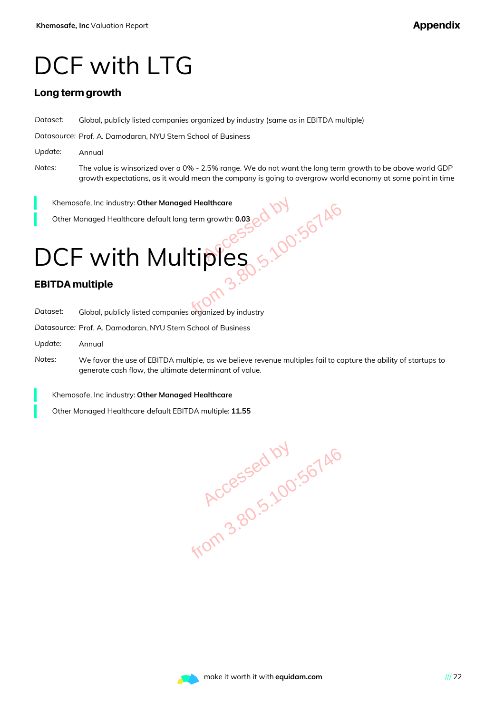### DCF with LTG

#### Long term growth

*Dataset:* Global, publicly listed companies organized by industry (same as in EBITDA multiple)

*Datasource:* Prof. A. Damodaran, NYU Stern School of Business

- *Update:* Annual
- *Notes:* The value is winsorized over a 0% 2.5% range. We do not want the long term growth to be above world GDP growth expectations, as it would mean the company is going to overgrow world economy at some point in time

Khemosafe, Inc industry: **Other Managed Healthcare**

Other Managed Healthcare default long term growth: **0.03**

## DCF with Multiples Managed Healthcare<br>
ault long term growth: 0.03<br>
Aultiples<br>
Aultiples<br>
3.80.5.100:56746<br>
Multiples<br>
3.80.5.100:56746<br>
Multiples<br>
3.80.5.100:56746<br>
Multiples<br>
3.80.5.100:56746<br>
Multiples<br>
2.90.100:56746<br>
Multiples<br>
2.90.100

#### EBITDA multiple

| Dataset: | Global, publicly listed companies organized by industry |  |
|----------|---------------------------------------------------------|--|
|          |                                                         |  |
|          |                                                         |  |

*Datasource:* Prof. A. Damodaran, NYU Stern School of Business

- *Update:* Annual
- *Notes:* We favor the use of EBITDA multiple, as we believe revenue multiples fail to capture the ability of startups to generate cash flow, the ultimate determinant of value.

Khemosafe, Inc industry: **Other Managed Healthcare**

Other Managed Healthcare default EBITDA multiple: **11.55**

**Accessed by 190.56746**